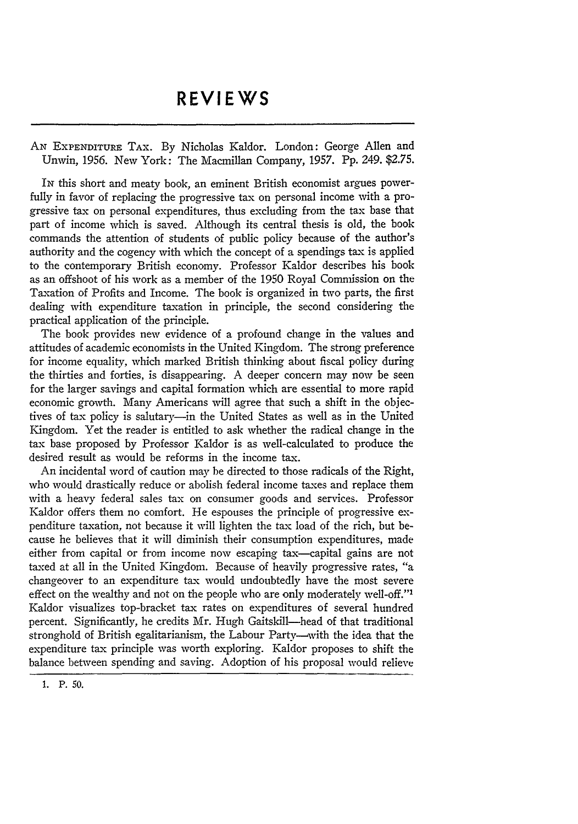AN EXPENDITURE TAX. By Nicholas Kaldor. London: George Allen and Unwin, 1956. New York: The Macmillan Company, 1957. Pp. 249. \$2.75.

IN this short and meaty book, an eminent British economist argues powerfully in favor of replacing the progressive tax on personal income with a progressive tax on personal expenditures, thus excluding from the tax base that part of income which is saved. Although its central thesis is old, the book commands the attention of students of public policy because of the author's authority and the cogency with which the concept of a spendings tax is applied to the contemporary British economy. Professor Kaldor describes his book as an offshoot of his work as a member of the 1950 Royal Commission on the Taxation of Profits and Income. The book is organized in two parts, the first dealing with expenditure taxation in principle, the second considering the practical application of the principle.

The book provides new evidence of a profound change in the values and attitudes of academic economists in the United Kingdom. The strong preference for income equality, which marked British thinking about fiscal policy during the thirties and forties, is disappearing. A deeper concern may now be seen for the larger savings and capital formation which are essential to more rapid economic growth. Many Americans will agree that such a shift in the objectives of tax policy is salutary-in the United States as well as in the United Kingdom. Yet the reader is entitled to ask whether the radical change in the tax base proposed by Professor Kaldor is as well-calculated to produce the desired result as would be reforms in the income tax.

An incidental word of caution may be directed to those radicals of the Right, who would drastically reduce or abolish federal income taxes and replace them with a heavy federal sales tax on consumer goods and services. Professor Kaldor offers them no comfort. He espouses the principle of progressive expenditure taxation, not because it will lighten the tax load of the rich, but because he believes that it will diminish their consumption expenditures, made either from capital or from income now escaping tax-capital gains are not taxed at all in the United Kingdom. Because of heavily progressive rates, "a changeover to an expenditure tax would undoubtedly have the most severe effect on the wealthy and not on the people who are only moderately well-off."<sup>1</sup> Kaldor visualizes top-bracket tax rates on expenditures of several hundred percent. Significantly, he credits Mr. Hugh Gaitskill-head of that traditional stronghold of British egalitarianism, the Labour Party-with the idea that the expenditure tax principle was worth exploring. Kaldor proposes to shift the balance between spending and saving. Adoption of his proposal would relieve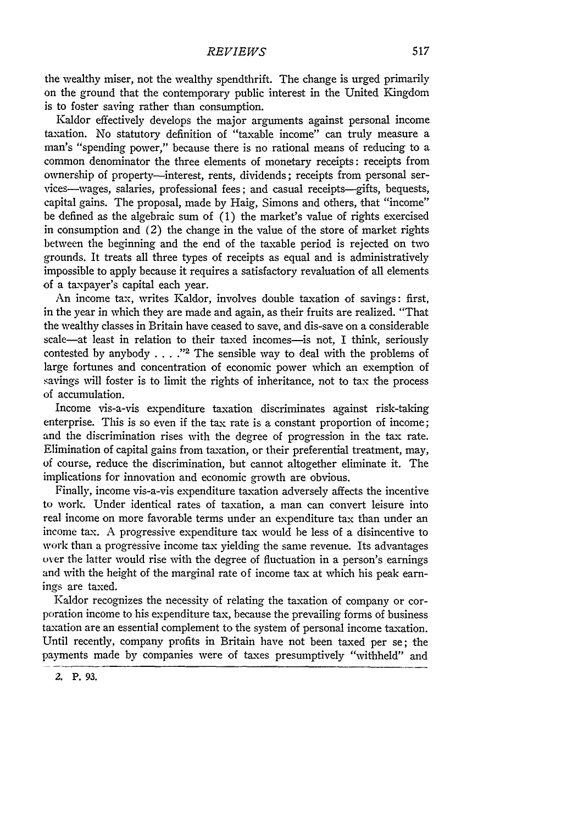the wealthy miser, not the wealthy spendthrift. The change is urged primarily on the ground that the contemporary public interest in the United Kingdom is to foster saving rather than consumption.

Kaldor effectively develops the major arguments against personal income taxation. No statutory definition of "taxable income" can truly measure a man's "spending power," because there is no rational means of reducing to a common denominator the three elements of monetary receipts: receipts from ownership of property-interest, rents, dividends; receipts from personal services-wages, salaries, professional fees; and casual receipts-gifts, bequests, capital gains. The proposal, made by Haig, Simons and others, that "income" be defined as the algebraic sum of (1) the market's value of rights exercised in consumption and (2) the change in the value of the store of market rights between the beginning and the end of the taxable period is rejected on two grounds. It treats all three types of receipts as equal and is administratively impossible to apply because it requires a satisfactory revaluation of all elements of a taxpayer's capital each year.

An income tax, writes Kaldor, involves double taxation of savings: first, in the year in which they are made and again, as their fruits are realized. "That the wealthy classes in Britain have ceased to save, and dis-save on a considerable scale-at least in relation to their taxed incomes-is not, I think, seriously contested by anybody . . . .<sup>22</sup> The sensible way to deal with the problems of large fortunes and concentration of economic power which an exemption of savings will foster is to limit the rights of inheritance, not to tax the process of accumulation.

Income vis-a-vis expenditure taxation discriminates against risk-taking enterprise. This is so even if the tax rate is a constant proportion of income; and the discrimination rises with the degree of progression in the tax rate. Elimination of capital gains from taxation, or their preferential treatment, may, of course, reduce the discrimination, but cannot altogether eliminate it. The implications for innovation and economic growth are obvious.

Finally, income vis-a-vis expenditure taxation adversely affects the incentive to work. Under identical rates of taxation, a man can convert leisure into real income on more favorable terms under an expenditure tax than under an income tax. A progressive expenditure tax would be less of a disincentive to work than a progressive income tax yielding the same revenue. Its advantages over the latter would rise with the degree of fluctuation in a person's earnings and with the height of the marginal rate of income tax at which his peak earnings are taxed.

Kaldor recognizes the necessity of relating the taxation of company or corporation income to his expenditure tax, because the prevailing forms of business taxation are an essential complement to the system of personal income taxation. Until recently, company profits in Britain have not been taxed per se; the payments made by companies were of taxes presumptively "withheld" and

**<sup>2.</sup> P. 93.**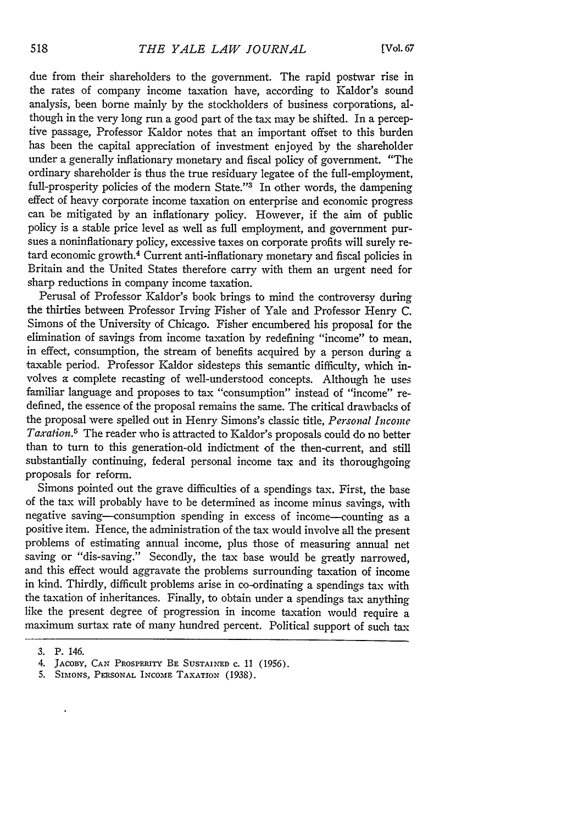due from their shareholders to the government. The rapid postwar rise in the rates of company income taxation have, according to Kaldor's sound analysis, been borne mainly by the stockholders of business corporations, although in the very long run a good part of the tax may be shifted. In a perceptive passage, Professor Kaldor notes that an important offset to this burden has been the capital appreciation of investment enjoyed by the shareholder under a generally inflationary monetary and fiscal policy of government. "The ordinary shareholder is thus the true residuary legatee of the full-employment, full-prosperity policies of the modern State."<sup>3</sup> In other words, the dampening effect of heavy corporate income taxation on enterprise and economic progress can be mitigated by an inflationary policy. However, if the aim of public policy is a stable price level as well as full employment, and government pursues a noninflationary policy, excessive taxes on corporate profits will surely retard economic growth.<sup>4</sup> Current anti-inflationary monetary and fiscal policies in Britain and the United States therefore carry with them an urgent need for sharp reductions in company income taxation.

Perusal of Professor Kaldor's book brings to mind the controversy during the thirties between Professor Irving Fisher of Yale and Professor Henry C. Simons of the University of Chicago. Fisher encumbered his proposal for the elimination of savings from income taxation by redefining "income" to mean, in effect, consumption, the stream of benefits acquired by a person during a taxable period. Professor Kaldor sidesteps this semantic difficulty, which involves a complete recasting of well-understood concepts. Although he uses familiar language and proposes to tax "consumption" instead of "income" redefined, the essence of the proposal remains the same. The critical drawbacks of the proposal were spelled out in Henry Simons's classic title, *Personal Income Taxation.5* The reader who is attracted to Kaldor's proposals could do no better than to turn to this generation-old indictment of the then-current, and still substantially continuing, federal personal income tax and its thoroughgoing proposals for reform.

Simons pointed out the grave difficulties of a spendings tax. First, the base of the tax will probably have to be determined as income minus savings, with negative saving-consumption spending in excess of income-counting as a positive item. Hence, the administration of the tax would involve all the present problems of estimating annual income, plus those of measuring annual net saving or "dis-saving." Secondly, the tax base would be greatly narrowed, and this effect would aggravate the problems surrounding taxation of income in kind. Thirdly, difficult problems arise in co-ordinating a spendings tax with the taxation of inheritances. Finally, to obtain under a spendings tax anything like the present degree of progression in income taxation would require a maximum surtax rate of many hundred percent. Political support of such tax

 $\ddot{\phantom{0}}$ 

**<sup>3.</sup>** P. 146.

<sup>4.</sup> JACOBY, CAN PROSPERITY BE SUSTAINED **c.** 11 (1956).

<sup>5.</sup> **SIMONS, PERSONAL INCOME** TAXATION (1938).